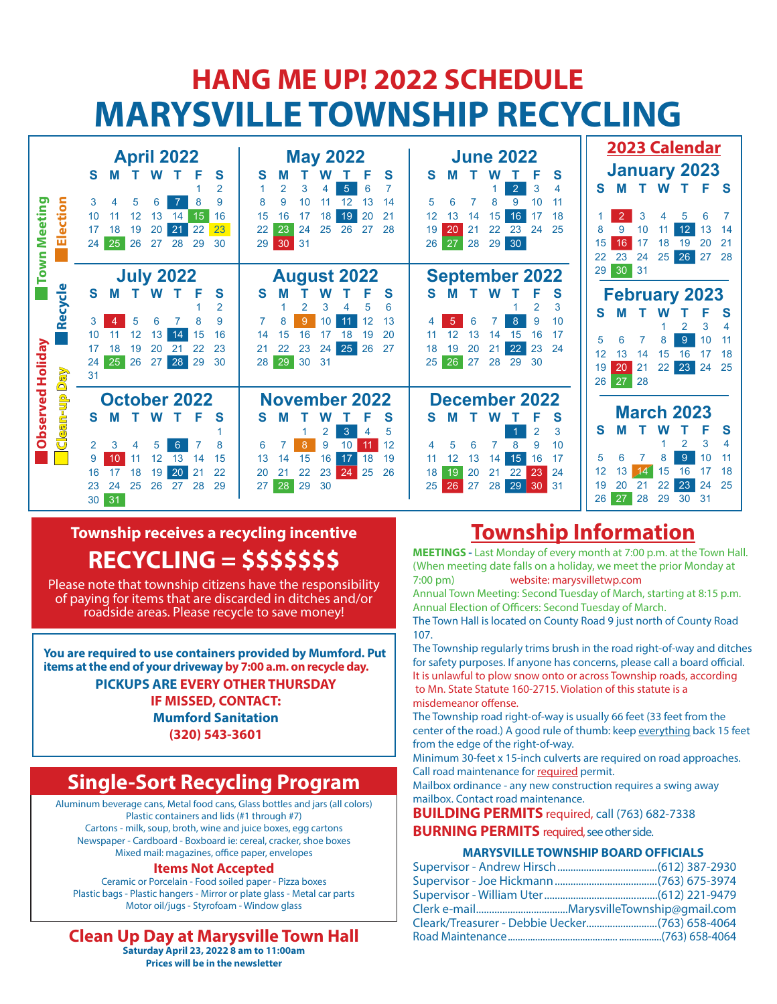## **HANG ME UP! 2022 SCHEDULE MARYSVILLE TOWNSHIP RECYCLING**

|                  | <b>April 2022</b>                                                                | <b>May 2022</b>                                                | <b>June 2022</b>                                                           | 2023 Calendar                                                 |
|------------------|----------------------------------------------------------------------------------|----------------------------------------------------------------|----------------------------------------------------------------------------|---------------------------------------------------------------|
|                  | S<br>S<br><b>W</b><br>м                                                          | S<br>S                                                         | S<br>S                                                                     | <b>January 2023</b>                                           |
|                  | $\overline{2}$                                                                   | 5<br>6<br>3                                                    | $\overline{2}$<br>3<br>4                                                   | W<br>S<br>Е<br>- S<br>м                                       |
| Election         | 9<br>6<br>3<br>5                                                                 | 14                                                             | 9<br>8<br>10<br>5                                                          |                                                               |
| Meeting          | 16<br>15<br>10<br>12<br>13<br>14<br>23                                           | 20<br>21<br>16<br>18<br>19<br>15<br>24<br>25<br>26<br>27<br>28 | 18<br>12<br>16<br>13<br>17<br>15<br>14<br>20<br>22<br>23<br>24<br>25       | 3<br>5<br>14<br>10                                            |
|                  | 21<br>22<br>17<br>19<br>20<br>18<br>26<br>27<br>25<br>24<br>28<br>29<br>30       | 23<br>22<br>30<br>31<br>29                                     | 19<br>21<br>30<br>27<br>28<br>29<br>26                                     | 12<br>13<br>16<br>15<br>18<br>19<br>21                        |
|                  |                                                                                  |                                                                |                                                                            | 25<br>26<br>27<br>28<br>23<br>24<br>22                        |
| Town             | <b>July 2022</b>                                                                 | <b>August 2022</b>                                             | <b>September 2022</b>                                                      | 30<br>31<br>29                                                |
|                  | S.<br>S<br>M<br>W                                                                | S<br>S                                                         | S<br>s<br>W                                                                | <b>February 2023</b>                                          |
| Recycle          | $\overline{2}$                                                                   | 5<br>3                                                         | $\overline{2}$<br>3                                                        | S<br>S                                                        |
|                  | 5<br>ิค<br>9<br>3                                                                | 11<br>12<br>13<br>9<br>10                                      | 8<br>10<br>9<br>5                                                          | 3<br>2                                                        |
|                  | 16<br>12<br>15<br>10<br>13<br>14                                                 | 20<br>15<br>19<br>14                                           | 15<br>16<br>17<br>13<br>14                                                 | 9<br>5<br>10                                                  |
|                  | 23<br>17<br>18<br>19<br>20<br>22                                                 | 25<br>26<br>27<br>22<br>23<br>24<br>21                         | 22<br>23<br>24<br>18<br>19<br>20<br>21                                     | 18<br>12<br>13<br>16<br>15<br>14                              |
|                  | 25<br>26<br>27<br>28<br>29<br>30<br>24<br>31                                     | 29<br>30<br>31<br>28 <sup>1</sup>                              | 26<br>27<br>28<br>25<br>29<br>30                                           | 20<br>23<br>24<br>25<br>21<br>22<br>19                        |
| Day              |                                                                                  |                                                                |                                                                            | 27<br>28<br>26                                                |
| Observed Holiday | <b>October 2022</b>                                                              | <b>November 2022</b>                                           | December 2022                                                              |                                                               |
| Clean-up         | S<br>S<br>W<br>м                                                                 | S<br>s                                                         | S<br>s<br>W<br>м                                                           | <b>March 2023</b>                                             |
|                  |                                                                                  | 3<br>5                                                         | $\overline{2}$<br>3                                                        | S<br>s<br>м                                                   |
|                  | 8<br>$\overline{2}$<br>3<br>6<br>5<br>4                                          | 8<br>12<br>9<br>10<br>6                                        | 8<br>9<br>10                                                               | 3<br>2                                                        |
|                  | 15<br>9<br>14                                                                    | 15<br>16<br>17<br>18<br>19<br>14                               | 15<br>16<br>17<br>13<br>11<br>14                                           | 9 <sup>°</sup><br>5                                           |
|                  | 20<br>22<br>18<br>21<br>17<br>19<br>16<br>25<br>26<br>28<br>24<br>27<br>29<br>23 | 22<br>23<br>24<br>25<br>26<br>20<br>21<br>28<br>29<br>30<br>27 | 23<br>21<br>22<br>24<br>18<br>19<br>20<br>29 30 31<br>25<br>27<br>28<br>26 | 3<br>15<br>16<br>18<br>14<br>23<br>24<br>25<br>21<br>22<br>19 |
|                  | 31<br>30                                                                         |                                                                |                                                                            | 27<br>28<br>26<br>29<br>30<br>31                              |

## **Township receives a recycling incentive RECYCLING = \$\$\$\$\$\$\$**

Please note that township citizens have the responsibility of paying for items that are discarded in ditches and/or roadside areas. Please recycle to save money!

**You are required to use containers provided by Mumford. Put items at the end of your driveway by 7:00 a.m. on recycle day. PICKUPS ARE EVERY OTHER THURSDAY IF MISSED, CONTACT: Mumford Sanitation (320) 543-3601**

## **Single-Sort Recycling Program**

Aluminum beverage cans, Metal food cans, Glass bottles and jars (all colors) Plastic containers and lids (#1 through #7) Cartons - milk, soup, broth, wine and juice boxes, egg cartons Newspaper - Cardboard - Boxboard ie: cereal, cracker, shoe boxes Mixed mail: magazines, office paper, envelopes

#### **Items Not Accepted**

Ceramic or Porcelain - Food soiled paper - Pizza boxes Plastic bags - Plastic hangers - Mirror or plate glass - Metal car parts Motor oil/jugs - Styrofoam - Window glass

**Clean Up Day at Marysville Town Hall Saturday April 23, 2022 8 am to 11:00am Prices will be in the newsletter**

**Township Information**

**MEETINGS -** Last Monday of every month at 7:00 p.m. at the Town Hall. (When meeting date falls on a holiday, we meet the prior Monday at 7:00 pm) website: marysvilletwp.com

Annual Town Meeting: Second Tuesday of March, starting at 8:15 p.m. Annual Election of Officers: Second Tuesday of March.

The Town Hall is located on County Road 9 just north of County Road 107.

The Township regularly trims brush in the road right-of-way and ditches for safety purposes. If anyone has concerns, please call a board official. It is unlawful to plow snow onto or across Township roads, according to Mn. State Statute 160-2715. Violation of this statute is a misdemeanor offense.

The Township road right-of-way is usually 66 feet (33 feet from the center of the road.) A good rule of thumb: keep everything back 15 feet from the edge of the right-of-way.

Minimum 30-feet x 15-inch culverts are required on road approaches. Call road maintenance for required permit.

Mailbox ordinance - any new construction requires a swing away mailbox. Contact road maintenance.

**BUILDING PERMITS** required, call (763) 682-7338

**BURNING PERMITS** required, see other side.

#### **MARYSVILLE TOWNSHIP BOARD OFFICIALS**